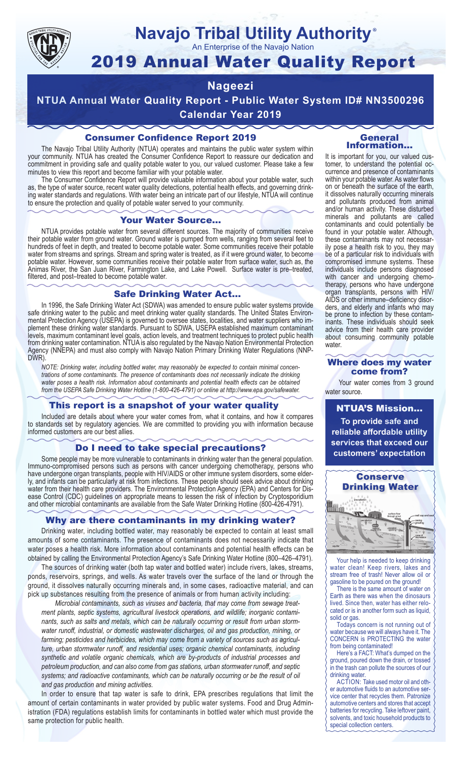

## **Navajo Tribal Utility Authority** ®

An Enterprise of the Navajo Nation

# 2019 Annual Water Quality Report

## **Nageezi**

**NTUA Annual Water Quality Report - Public Water System ID# NN3500296 Calendar Year 2019**

## Consumer Confidence Report 2019

The Navajo Tribal Utility Authority (NTUA) operates and maintains the public water system within your community. NTUA has created the Consumer Confidence Report to reassure our dedication and commitment in providing safe and quality potable water to you, our valued customer. Please take a few minutes to view this report and become familiar with your potable water.

The Consumer Confidence Report will provide valuable information about your potable water, such as, the type of water source, recent water quality detections, potential health effects, and governing drinking water standards and regulations. With water being an intricate part of our lifestyle, NTUA will continue to ensure the protection and quality of potable water served to your community.

#### Your Water Source…

NTUA provides potable water from several different sources. The majority of communities receive their potable water from ground water. Ground water is pumped from wells, ranging from several feet to hundreds of feet in depth, and treated to become potable water. Some communities receive their potable water from streams and springs. Stream and spring water is treated, as if it were ground water, to become potable water. However, some communities receive their potable water from surface water, such as, the Animas River, the San Juan River, Farmington Lake, and Lake Powell. Surface water is pre–treated, filtered, and post–treated to become potable water.

#### Safe Drinking Water Act…

In 1996, the Safe Drinking Water Act (SDWA) was amended to ensure public water systems provide safe drinking water to the public and meet drinking water quality standards. The United States Environmental Protection Agency (USEPA) is governed to oversee states, localities, and water suppliers who implement these drinking water standards. Pursuant to SDWA, USEPA established maximum contaminant levels, maximum contaminant level goals, action levels, and treatment techniques to protect public health from drinking water contamination. NTUA is also regulated by the Navajo Nation Environmental Protection Agency (NNEPA) and must also comply with Navajo Nation Primary Drinking Water Regulations (NNP-DWR)

*NOTE: Drinking water, including bottled water, may reasonably be expected to contain minimal concentrations of some contaminants. The presence of contaminants does not necessarily indicate the drinking water poses a health risk. Information about contaminants and potential health effects can be obtained from the USEPA Safe Drinking Water Hotline (1-800-426-4791) or online at http://www.epa.gov/safewater.*

## This report is a snapshot of your water quality

Included are details about where your water comes from, what it contains, and how it compares to standards set by regulatory agencies. We are committed to providing you with information because informed customers are our best allies.

#### Do I need to take special precautions?

Some people may be more vulnerable to contaminants in drinking water than the general population. Immuno-compromised persons such as persons with cancer undergoing chemotherapy, persons who have undergone organ transplants, people with HIV/AIDS or other immune system disorders, some elderly, and infants can be particularly at risk from infections. These people should seek advice about drinking water from their health care providers. The Environmental Protection Agency (EPA) and Centers for Disease Control (CDC) guidelines on appropriate means to lessen the risk of infection by Cryptosporidium and other microbial contaminants are available from the Safe Water Drinking Hotline (800-426-4791).

## Why are there contaminants in my drinking water?

Drinking water, including bottled water, may reasonably be expected to contain at least small amounts of some contaminants. The presence of contaminants does not necessarily indicate that water poses a health risk. More information about contaminants and potential health effects can be obtained by calling the Environmental Protection Agency's Safe Drinking Water Hotline (800–426–4791).

The sources of drinking water (both tap water and bottled water) include rivers, lakes, streams, ponds, reservoirs, springs, and wells. As water travels over the surface of the land or through the ground, it dissolves naturally occurring minerals and, in some cases, radioactive material, and can pick up substances resulting from the presence of animals or from human activity including:

*Microbial contaminants, such as viruses and bacteria, that may come from sewage treatment plants, septic systems, agricultural livestock operations, and wildlife; inorganic contaminants, such as salts and metals, which can be naturally occurring or result from urban stormwater runoff, industrial, or domestic wastewater discharges, oil and gas production, mining, or farming; pesticides and herbicides, which may come from a variety of sources such as agriculture, urban stormwater runoff, and residential uses; organic chemical contaminants, including synthetic and volatile organic chemicals, which are by-products of industrial processes and petroleum production, and can also come from gas stations, urban stormwater runoff, and septic systems; and radioactive contaminants, which can be naturally occurring or be the result of oil and gas production and mining activities.*

In order to ensure that tap water is safe to drink, EPA prescribes regulations that limit the amount of certain contaminants in water provided by public water systems. Food and Drug Administration (FDA) regulations establish limits for contaminants in bottled water which must provide the same protection for public health.

#### General Information…

It is important for you, our valued customer, to understand the potential occurrence and presence of contaminants within your potable water. As water flows on or beneath the surface of the earth, it dissolves naturally occurring minerals and pollutants produced from animal and/or human activity. These disturbed minerals and pollutants are called contaminants and could potentially be found in your potable water. Although, these contaminants may not necessarily pose a health risk to you, they may be of a particular risk to individuals with compromised immune systems. These individuals include persons diagnosed with cancer and undergoing chemo-<br>therapy, persons who have undergone organ transplants, persons with HIV/ AIDS or other immune–deficiency disor- ders, and elderly and infants who may be prone to infection by these contam- inants. These individuals should seek advice from their health care provider about consuming community potable water.

#### Where does my water come from?

Your water comes from 3 ground water source.

NTUA'S Mission... **To provide safe and reliable affordable utility services that exceed our customers' expectation**



Your help is needed to keep drinking water clean! Keep rivers, lakes and stream free of trash! Never allow oil or gasoline to be poured on the ground!

There is the same amount of water on Earth as there was when the dinosaurs lived. Since then, water has either relocated or is in another form such as liquid, solid or gas.

Todays concern is not running out of water because we will always have it. The CONCERN is PROTECTING the water from being contaminated!

Here's a FACT: What's dumped on the ground, poured down the drain, or tossed in the trash can pollute the sources of our drinking water.

ACTION: Take used motor oil and other automotive fluids to an automotive service center that recycles them. Patronize automotive centers and stores that accept batteries for recycling. Take leftover paint, solvents, and toxic household products to special collection centers.